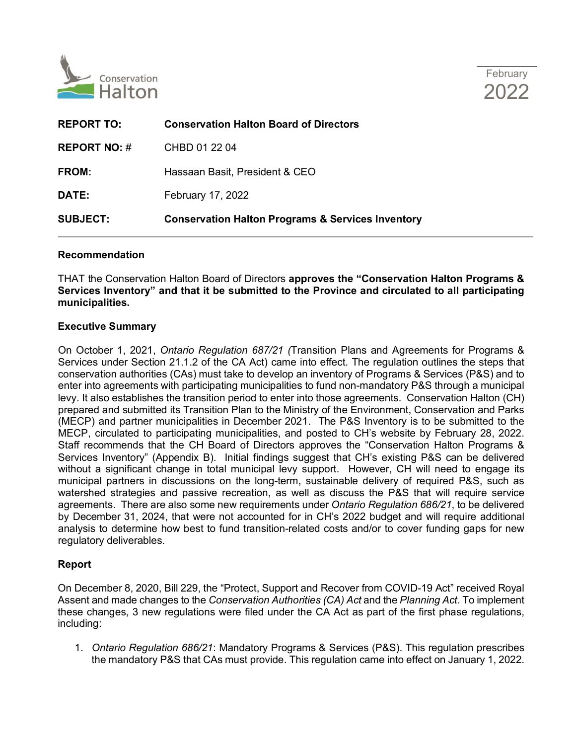



| <b>REPORT TO:</b>   | <b>Conservation Halton Board of Directors</b>                |
|---------------------|--------------------------------------------------------------|
| <b>REPORT NO: #</b> | CHBD 01 22 04                                                |
| <b>FROM:</b>        | Hassaan Basit, President & CEO                               |
| DATE:               | February 17, 2022                                            |
| <b>SUBJECT:</b>     | <b>Conservation Halton Programs &amp; Services Inventory</b> |
|                     |                                                              |

## **Recommendation**

THAT the Conservation Halton Board of Directors **approves the "Conservation Halton Programs & Services Inventory" and that it be submitted to the Province and circulated to all participating municipalities.** 

## **Executive Summary**

On October 1, 2021, *Ontario Regulation 687/21 (*Transition Plans and Agreements for Programs & Services under Section 21.1.2 of the CA Act) came into effect. The regulation outlines the steps that conservation authorities (CAs) must take to develop an inventory of Programs & Services (P&S) and to enter into agreements with participating municipalities to fund non-mandatory P&S through a municipal levy. It also establishes the transition period to enter into those agreements. Conservation Halton (CH) prepared and submitted its Transition Plan to the Ministry of the Environment, Conservation and Parks (MECP) and partner municipalities in December 2021. The P&S Inventory is to be submitted to the MECP, circulated to participating municipalities, and posted to CH's website by February 28, 2022. Staff recommends that the CH Board of Directors approves the "Conservation Halton Programs & Services Inventory" (Appendix B). Initial findings suggest that CH's existing P&S can be delivered without a significant change in total municipal levy support. However, CH will need to engage its municipal partners in discussions on the long-term, sustainable delivery of required P&S, such as watershed strategies and passive recreation, as well as discuss the P&S that will require service agreements. There are also some new requirements under *Ontario Regulation 686/21*, to be delivered by December 31, 2024, that were not accounted for in CH's 2022 budget and will require additional analysis to determine how best to fund transition-related costs and/or to cover funding gaps for new regulatory deliverables.

# **Report**

On December 8, 2020, Bill 229, the "Protect, Support and Recover from COVID-19 Act" received Royal Assent and made changes to the *Conservation Authorities (CA) Act* and the *Planning Act*. To implement these changes, 3 new regulations were filed under the CA Act as part of the first phase regulations, including:

1. *Ontario Regulation 686/21*: Mandatory Programs & Services (P&S). This regulation prescribes the mandatory P&S that CAs must provide. This regulation came into effect on January 1, 2022.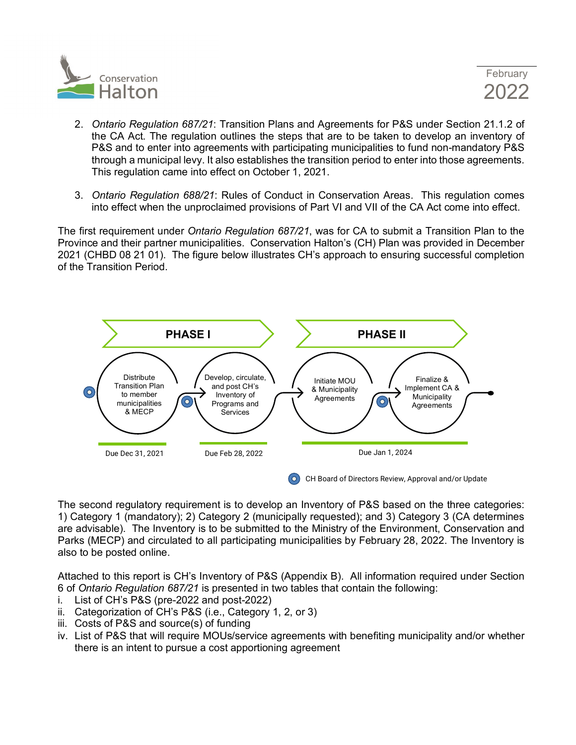

- 2. *Ontario Regulation 687/21*: Transition Plans and Agreements for P&S under Section 21.1.2 of the CA Act. The regulation outlines the steps that are to be taken to develop an inventory of P&S and to enter into agreements with participating municipalities to fund non-mandatory P&S through a municipal levy. It also establishes the transition period to enter into those agreements. This regulation came into effect on October 1, 2021.
- 3. *Ontario Regulation 688/21*: Rules of Conduct in Conservation Areas. This regulation comes into effect when the unproclaimed provisions of Part VI and VII of the CA Act come into effect.

The first requirement under *Ontario Regulation 687/21*, was for CA to submit a Transition Plan to the Province and their partner municipalities. Conservation Halton's (CH) Plan was provided in December 2021 (CHBD 08 21 01). The figure below illustrates CH's approach to ensuring successful completion of the Transition Period.



The second regulatory requirement is to develop an Inventory of P&S based on the three categories: 1) Category 1 (mandatory); 2) Category 2 (municipally requested); and 3) Category 3 (CA determines are advisable). The Inventory is to be submitted to the Ministry of the Environment, Conservation and Parks (MECP) and circulated to all participating municipalities by February 28, 2022. The Inventory is also to be posted online.

Attached to this report is CH's Inventory of P&S (Appendix B). All information required under Section 6 of *Ontario Regulation 687/21* is presented in two tables that contain the following:

- i. List of CH's P&S (pre-2022 and post-2022)
- ii. Categorization of CH's P&S (i.e., Category 1, 2, or 3)
- iii. Costs of P&S and source(s) of funding
- iv. List of P&S that will require MOUs/service agreements with benefiting municipality and/or whether there is an intent to pursue a cost apportioning agreement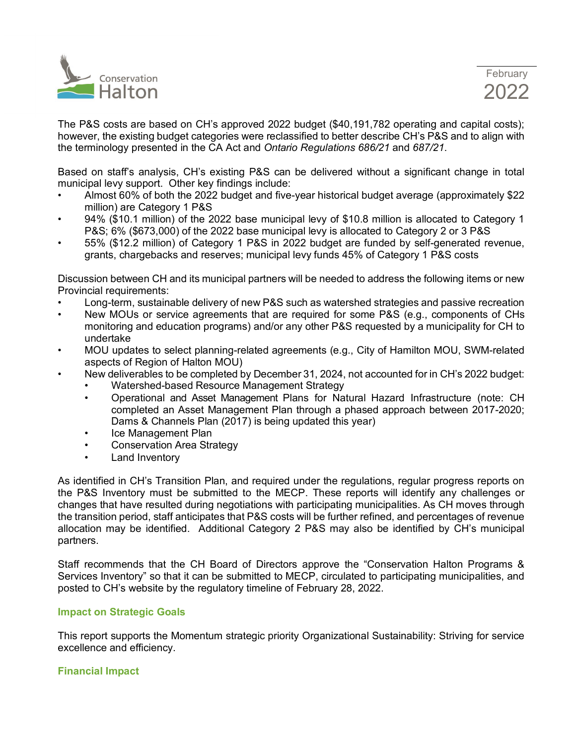

The P&S costs are based on CH's approved 2022 budget (\$40,191,782 operating and capital costs); however, the existing budget categories were reclassified to better describe CH's P&S and to align with the terminology presented in the CA Act and *Ontario Regulations 686/21* and *687/21*.

Based on staff's analysis, CH's existing P&S can be delivered without a significant change in total municipal levy support. Other key findings include:

- Almost 60% of both the 2022 budget and five-year historical budget average (approximately \$22 million) are Category 1 P&S
- 94% (\$10.1 million) of the 2022 base municipal levy of \$10.8 million is allocated to Category 1 P&S; 6% (\$673,000) of the 2022 base municipal levy is allocated to Category 2 or 3 P&S
- 55% (\$12.2 million) of Category 1 P&S in 2022 budget are funded by self-generated revenue, grants, chargebacks and reserves; municipal levy funds 45% of Category 1 P&S costs

Discussion between CH and its municipal partners will be needed to address the following items or new Provincial requirements:

- Long-term, sustainable delivery of new P&S such as watershed strategies and passive recreation
- New MOUs or service agreements that are required for some P&S (e.g., components of CHs monitoring and education programs) and/or any other P&S requested by a municipality for CH to undertake
- MOU updates to select planning-related agreements (e.g., City of Hamilton MOU, SWM-related aspects of Region of Halton MOU)
- New deliverables to be completed by December 31, 2024, not accounted for in CH's 2022 budget:
	- Watershed-based Resource Management Strategy
	- Operational and Asset Management Plans for Natural Hazard Infrastructure (note: CH completed an Asset Management Plan through a phased approach between 2017-2020; Dams & Channels Plan (2017) is being updated this year)
	- Ice Management Plan
	- Conservation Area Strategy
	- Land Inventory

As identified in CH's Transition Plan, and required under the regulations, regular progress reports on the P&S Inventory must be submitted to the MECP. These reports will identify any challenges or changes that have resulted during negotiations with participating municipalities. As CH moves through the transition period, staff anticipates that P&S costs will be further refined, and percentages of revenue allocation may be identified. Additional Category 2 P&S may also be identified by CH's municipal partners.

Staff recommends that the CH Board of Directors approve the "Conservation Halton Programs & Services Inventory" so that it can be submitted to MECP, circulated to participating municipalities, and posted to CH's website by the regulatory timeline of February 28, 2022.

# **Impact on Strategic Goals**

This report supports the Momentum strategic priority Organizational Sustainability: Striving for service excellence and efficiency.

# **Financial Impact**